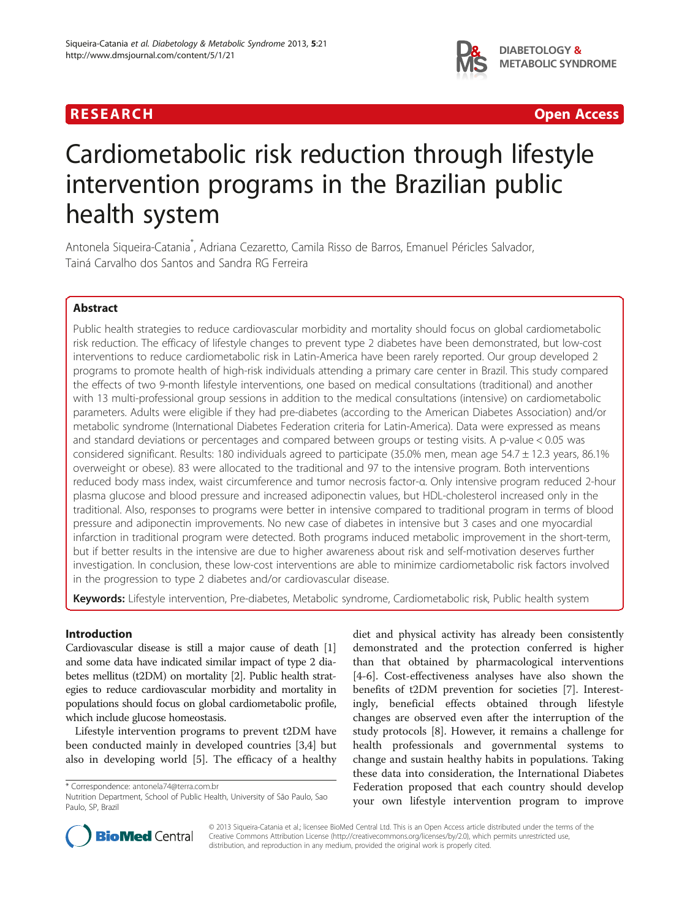

**RESEARCH CHINESE ARCH CHINESE ARCH CHINESE ARCH <b>CHINESE ARCH CHINESE ARCH CHINESE ARCH <b>CHINESE** ARCH **CHINESE ARCH** CHINESE ARCH **CHINESE ARCH 2014** 

# Cardiometabolic risk reduction through lifestyle intervention programs in the Brazilian public health system

Antonela Siqueira-Catania<sup>\*</sup>, Adriana Cezaretto, Camila Risso de Barros, Emanuel Péricles Salvador, Tainá Carvalho dos Santos and Sandra RG Ferreira

# Abstract

Public health strategies to reduce cardiovascular morbidity and mortality should focus on global cardiometabolic risk reduction. The efficacy of lifestyle changes to prevent type 2 diabetes have been demonstrated, but low-cost interventions to reduce cardiometabolic risk in Latin-America have been rarely reported. Our group developed 2 programs to promote health of high-risk individuals attending a primary care center in Brazil. This study compared the effects of two 9-month lifestyle interventions, one based on medical consultations (traditional) and another with 13 multi-professional group sessions in addition to the medical consultations (intensive) on cardiometabolic parameters. Adults were eligible if they had pre-diabetes (according to the American Diabetes Association) and/or metabolic syndrome (International Diabetes Federation criteria for Latin-America). Data were expressed as means and standard deviations or percentages and compared between groups or testing visits. A p-value < 0.05 was considered significant. Results: 180 individuals agreed to participate (35.0% men, mean age 54.7 ± 12.3 years, 86.1% overweight or obese). 83 were allocated to the traditional and 97 to the intensive program. Both interventions reduced body mass index, waist circumference and tumor necrosis factor-α. Only intensive program reduced 2-hour plasma glucose and blood pressure and increased adiponectin values, but HDL-cholesterol increased only in the traditional. Also, responses to programs were better in intensive compared to traditional program in terms of blood pressure and adiponectin improvements. No new case of diabetes in intensive but 3 cases and one myocardial infarction in traditional program were detected. Both programs induced metabolic improvement in the short-term, but if better results in the intensive are due to higher awareness about risk and self-motivation deserves further investigation. In conclusion, these low-cost interventions are able to minimize cardiometabolic risk factors involved in the progression to type 2 diabetes and/or cardiovascular disease.

Keywords: Lifestyle intervention, Pre-diabetes, Metabolic syndrome, Cardiometabolic risk, Public health system

# Introduction

Cardiovascular disease is still a major cause of death [[1](#page-5-0)] and some data have indicated similar impact of type 2 diabetes mellitus (t2DM) on mortality [\[2\]](#page-5-0). Public health strategies to reduce cardiovascular morbidity and mortality in populations should focus on global cardiometabolic profile, which include glucose homeostasis.

Lifestyle intervention programs to prevent t2DM have been conducted mainly in developed countries [\[3,4](#page-5-0)] but also in developing world [\[5](#page-5-0)]. The efficacy of a healthy

\* Correspondence: [antonela74@terra.com.br](mailto:antonela74@terra.com.br)

diet and physical activity has already been consistently demonstrated and the protection conferred is higher than that obtained by pharmacological interventions [[4-6](#page-5-0)]. Cost-effectiveness analyses have also shown the benefits of t2DM prevention for societies [\[7](#page-5-0)]. Interestingly, beneficial effects obtained through lifestyle changes are observed even after the interruption of the study protocols [\[8](#page-5-0)]. However, it remains a challenge for health professionals and governmental systems to change and sustain healthy habits in populations. Taking these data into consideration, the International Diabetes Federation proposed that each country should develop your own lifestyle intervention program to improve



© 2013 Siqueira-Catania et al.; licensee BioMed Central Ltd. This is an Open Access article distributed under the terms of the Creative Commons Attribution License (<http://creativecommons.org/licenses/by/2.0>), which permits unrestricted use, distribution, and reproduction in any medium, provided the original work is properly cited.

Nutrition Department, School of Public Health, University of São Paulo, Sao Paulo, SP, Brazil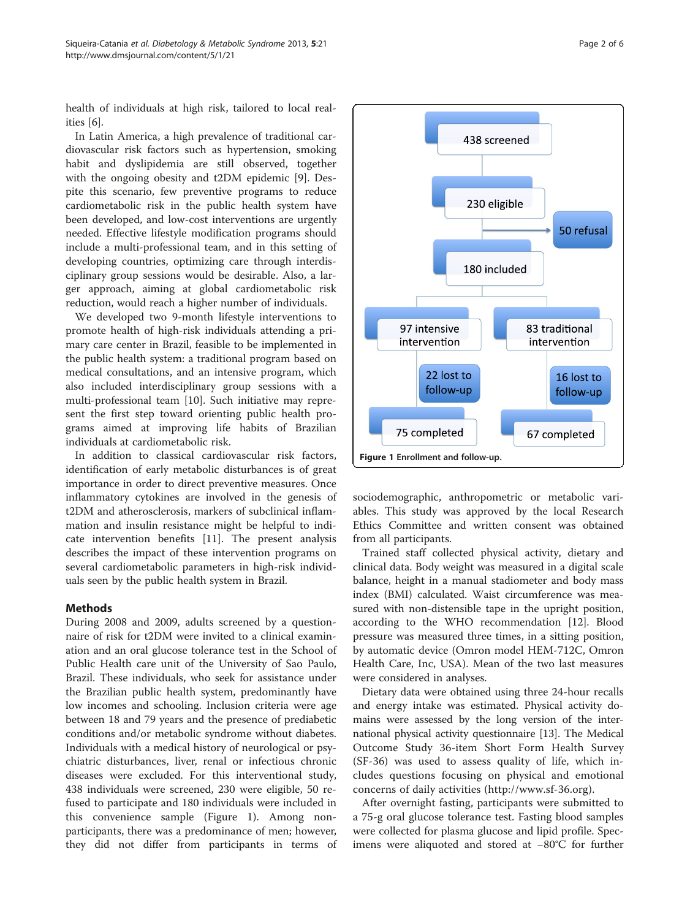<span id="page-1-0"></span>health of individuals at high risk, tailored to local realities [\[6](#page-5-0)].

In Latin America, a high prevalence of traditional cardiovascular risk factors such as hypertension, smoking habit and dyslipidemia are still observed, together with the ongoing obesity and t2DM epidemic [\[9](#page-5-0)]. Despite this scenario, few preventive programs to reduce cardiometabolic risk in the public health system have been developed, and low-cost interventions are urgently needed. Effective lifestyle modification programs should include a multi-professional team, and in this setting of developing countries, optimizing care through interdisciplinary group sessions would be desirable. Also, a larger approach, aiming at global cardiometabolic risk reduction, would reach a higher number of individuals.

We developed two 9-month lifestyle interventions to promote health of high-risk individuals attending a primary care center in Brazil, feasible to be implemented in the public health system: a traditional program based on medical consultations, and an intensive program, which also included interdisciplinary group sessions with a multi-professional team [\[10](#page-5-0)]. Such initiative may represent the first step toward orienting public health programs aimed at improving life habits of Brazilian individuals at cardiometabolic risk.

In addition to classical cardiovascular risk factors, identification of early metabolic disturbances is of great importance in order to direct preventive measures. Once inflammatory cytokines are involved in the genesis of t2DM and atherosclerosis, markers of subclinical inflammation and insulin resistance might be helpful to indicate intervention benefits [[11\]](#page-5-0). The present analysis describes the impact of these intervention programs on several cardiometabolic parameters in high-risk individuals seen by the public health system in Brazil.

# Methods

During 2008 and 2009, adults screened by a questionnaire of risk for t2DM were invited to a clinical examination and an oral glucose tolerance test in the School of Public Health care unit of the University of Sao Paulo, Brazil. These individuals, who seek for assistance under the Brazilian public health system, predominantly have low incomes and schooling. Inclusion criteria were age between 18 and 79 years and the presence of prediabetic conditions and/or metabolic syndrome without diabetes. Individuals with a medical history of neurological or psychiatric disturbances, liver, renal or infectious chronic diseases were excluded. For this interventional study, 438 individuals were screened, 230 were eligible, 50 refused to participate and 180 individuals were included in this convenience sample (Figure 1). Among nonparticipants, there was a predominance of men; however, they did not differ from participants in terms of



sociodemographic, anthropometric or metabolic variables. This study was approved by the local Research Ethics Committee and written consent was obtained from all participants.

Trained staff collected physical activity, dietary and clinical data. Body weight was measured in a digital scale balance, height in a manual stadiometer and body mass index (BMI) calculated. Waist circumference was measured with non-distensible tape in the upright position, according to the WHO recommendation [[12](#page-5-0)]. Blood pressure was measured three times, in a sitting position, by automatic device (Omron model HEM-712C, Omron Health Care, Inc, USA). Mean of the two last measures were considered in analyses.

Dietary data were obtained using three 24-hour recalls and energy intake was estimated. Physical activity domains were assessed by the long version of the international physical activity questionnaire [[13](#page-5-0)]. The Medical Outcome Study 36-item Short Form Health Survey (SF-36) was used to assess quality of life, which includes questions focusing on physical and emotional concerns of daily activities [\(http://www.sf-36.org](http://www.sf-36.org/)).

After overnight fasting, participants were submitted to a 75-g oral glucose tolerance test. Fasting blood samples were collected for plasma glucose and lipid profile. Specimens were aliquoted and stored at −80°C for further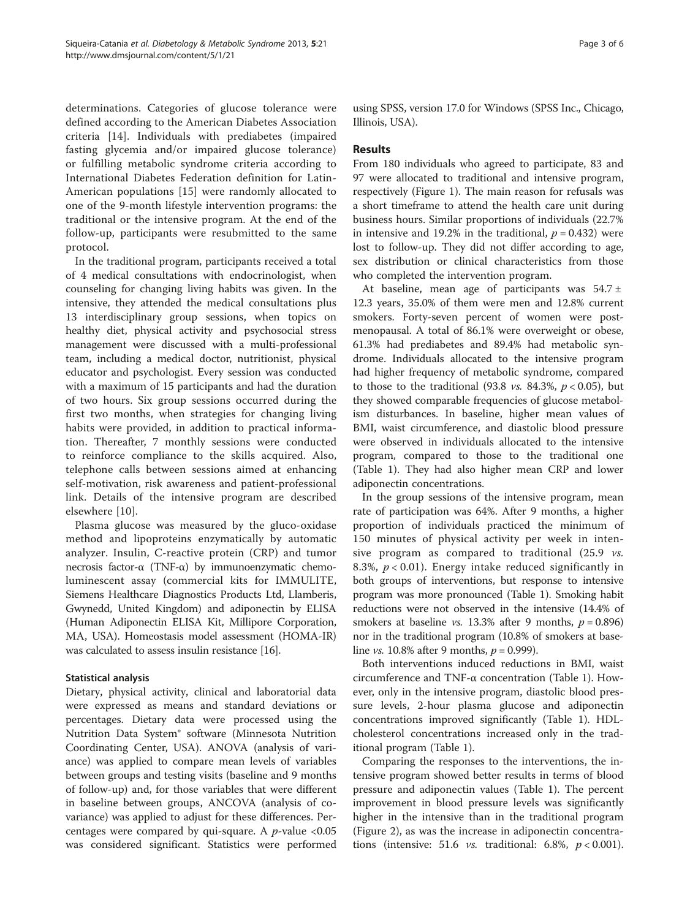determinations. Categories of glucose tolerance were defined according to the American Diabetes Association criteria [\[14](#page-5-0)]. Individuals with prediabetes (impaired fasting glycemia and/or impaired glucose tolerance) or fulfilling metabolic syndrome criteria according to International Diabetes Federation definition for Latin-American populations [\[15](#page-5-0)] were randomly allocated to one of the 9-month lifestyle intervention programs: the traditional or the intensive program. At the end of the follow-up, participants were resubmitted to the same protocol.

In the traditional program, participants received a total of 4 medical consultations with endocrinologist, when counseling for changing living habits was given. In the intensive, they attended the medical consultations plus 13 interdisciplinary group sessions, when topics on healthy diet, physical activity and psychosocial stress management were discussed with a multi-professional team, including a medical doctor, nutritionist, physical educator and psychologist. Every session was conducted with a maximum of 15 participants and had the duration of two hours. Six group sessions occurred during the first two months, when strategies for changing living habits were provided, in addition to practical information. Thereafter, 7 monthly sessions were conducted to reinforce compliance to the skills acquired. Also, telephone calls between sessions aimed at enhancing self-motivation, risk awareness and patient-professional link. Details of the intensive program are described elsewhere [[10\]](#page-5-0).

Plasma glucose was measured by the gluco-oxidase method and lipoproteins enzymatically by automatic analyzer. Insulin, C-reactive protein (CRP) and tumor necrosis factor-α (TNF-α) by immunoenzymatic chemoluminescent assay (commercial kits for IMMULITE, Siemens Healthcare Diagnostics Products Ltd, Llamberis, Gwynedd, United Kingdom) and adiponectin by ELISA (Human Adiponectin ELISA Kit, Millipore Corporation, MA, USA). Homeostasis model assessment (HOMA-IR) was calculated to assess insulin resistance [[16](#page-5-0)].

# Statistical analysis

Dietary, physical activity, clinical and laboratorial data were expressed as means and standard deviations or percentages. Dietary data were processed using the Nutrition Data System® software (Minnesota Nutrition Coordinating Center, USA). ANOVA (analysis of variance) was applied to compare mean levels of variables between groups and testing visits (baseline and 9 months of follow-up) and, for those variables that were different in baseline between groups, ANCOVA (analysis of covariance) was applied to adjust for these differences. Percentages were compared by qui-square. A  $p$ -value <0.05 was considered significant. Statistics were performed using SPSS, version 17.0 for Windows (SPSS Inc., Chicago, Illinois, USA).

# Results

From 180 individuals who agreed to participate, 83 and 97 were allocated to traditional and intensive program, respectively (Figure [1\)](#page-1-0). The main reason for refusals was a short timeframe to attend the health care unit during business hours. Similar proportions of individuals (22.7% in intensive and 19.2% in the traditional,  $p = 0.432$ ) were lost to follow-up. They did not differ according to age, sex distribution or clinical characteristics from those who completed the intervention program.

At baseline, mean age of participants was  $54.7 \pm$ 12.3 years, 35.0% of them were men and 12.8% current smokers. Forty-seven percent of women were postmenopausal. A total of 86.1% were overweight or obese, 61.3% had prediabetes and 89.4% had metabolic syndrome. Individuals allocated to the intensive program had higher frequency of metabolic syndrome, compared to those to the traditional (93.8 *vs.* 84.3%,  $p < 0.05$ ), but they showed comparable frequencies of glucose metabolism disturbances. In baseline, higher mean values of BMI, waist circumference, and diastolic blood pressure were observed in individuals allocated to the intensive program, compared to those to the traditional one (Table [1\)](#page-3-0). They had also higher mean CRP and lower adiponectin concentrations.

In the group sessions of the intensive program, mean rate of participation was 64%. After 9 months, a higher proportion of individuals practiced the minimum of 150 minutes of physical activity per week in intensive program as compared to traditional (25.9 vs. 8.3%,  $p < 0.01$ ). Energy intake reduced significantly in both groups of interventions, but response to intensive program was more pronounced (Table [1\)](#page-3-0). Smoking habit reductions were not observed in the intensive (14.4% of smokers at baseline *vs.* 13.3% after 9 months,  $p = 0.896$ ) nor in the traditional program (10.8% of smokers at baseline *vs.* 10.8% after 9 months,  $p = 0.999$ ).

Both interventions induced reductions in BMI, waist circumference and TNF-α concentration (Table [1](#page-3-0)). However, only in the intensive program, diastolic blood pressure levels, 2-hour plasma glucose and adiponectin concentrations improved significantly (Table [1](#page-3-0)). HDLcholesterol concentrations increased only in the traditional program (Table [1\)](#page-3-0).

Comparing the responses to the interventions, the intensive program showed better results in terms of blood pressure and adiponectin values (Table [1](#page-3-0)). The percent improvement in blood pressure levels was significantly higher in the intensive than in the traditional program (Figure [2\)](#page-3-0), as was the increase in adiponectin concentrations (intensive: 51.6 *vs.* traditional: 6.8%,  $p < 0.001$ ).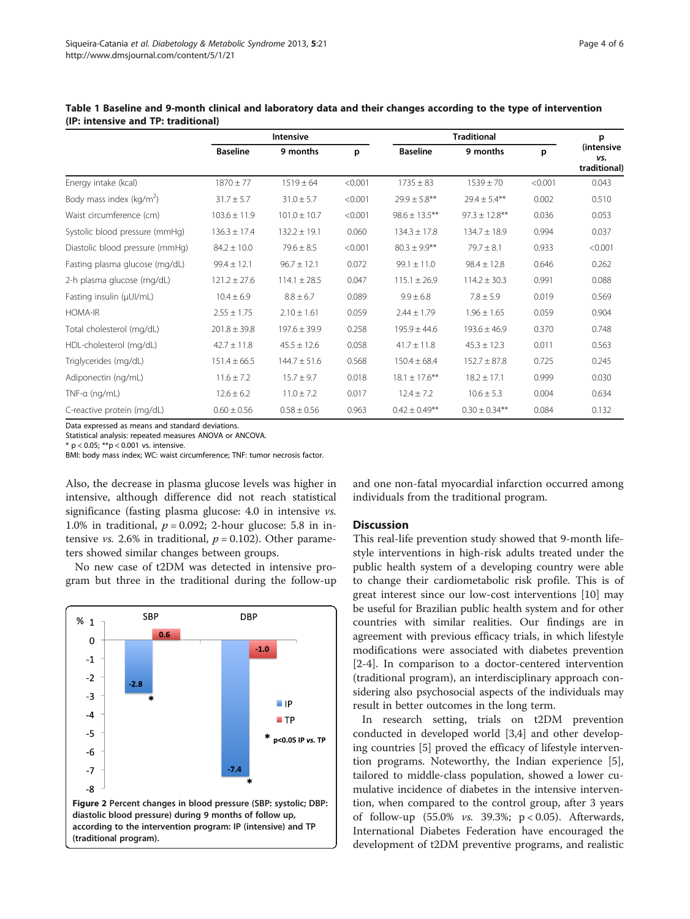|                                 | Intensive        |                  |         | <b>Traditional</b> |                    |         | p                                        |
|---------------------------------|------------------|------------------|---------|--------------------|--------------------|---------|------------------------------------------|
|                                 | <b>Baseline</b>  | 9 months         | p       | <b>Baseline</b>    | 9 months           | p       | <i>(intensive</i><br>VS.<br>traditional) |
| Energy intake (kcal)            | $1870 \pm 77$    | $1519 \pm 64$    | < 0.001 | $1735 \pm 83$      | $1539 \pm 70$      | < 0.001 | 0.043                                    |
| Body mass index ( $kg/m2$ )     | $31.7 \pm 5.7$   | $31.0 \pm 5.7$   | < 0.001 | $29.9 \pm 5.8$ **  | $29.4 \pm 5.4***$  | 0.002   | 0.510                                    |
| Waist circumference (cm)        | $103.6 \pm 11.9$ | $101.0 \pm 10.7$ | < 0.001 | $98.6 \pm 13.5$ ** | $97.3 \pm 12.8$ ** | 0.036   | 0.053                                    |
| Systolic blood pressure (mmHq)  | $136.3 \pm 17.4$ | $132.2 \pm 19.1$ | 0.060   | $134.3 \pm 17.8$   | $134.7 \pm 18.9$   | 0.994   | 0.037                                    |
| Diastolic blood pressure (mmHg) | $84.2 \pm 10.0$  | $79.6 \pm 8.5$   | < 0.001 | $80.3 \pm 9.9***$  | $79.7 \pm 8.1$     | 0.933   | < 0.001                                  |
| Fasting plasma glucose (mg/dL)  | $99.4 \pm 12.1$  | $96.7 \pm 12.1$  | 0.072   | $99.1 \pm 11.0$    | $98.4 \pm 12.8$    | 0.646   | 0.262                                    |
| 2-h plasma glucose (mg/dL)      | $121.2 \pm 27.6$ | $114.1 \pm 28.5$ | 0.047   | $115.1 \pm 26.9$   | $114.2 \pm 30.3$   | 0.991   | 0.088                                    |
| Fasting insulin (µUI/mL)        | $10.4 \pm 6.9$   | $8.8 \pm 6.7$    | 0.089   | $9.9 \pm 6.8$      | $7.8 \pm 5.9$      | 0.019   | 0.569                                    |
| <b>HOMA-IR</b>                  | $2.55 \pm 1.75$  | $2.10 \pm 1.61$  | 0.059   | $2.44 \pm 1.79$    | $1.96 \pm 1.65$    | 0.059   | 0.904                                    |
| Total cholesterol (mg/dL)       | $201.8 \pm 39.8$ | $197.6 \pm 39.9$ | 0.258   | $195.9 \pm 44.6$   | $193.6 \pm 46.9$   | 0.370   | 0.748                                    |
| HDL-cholesterol (mg/dL)         | $42.7 \pm 11.8$  | $45.5 \pm 12.6$  | 0.058   | $41.7 \pm 11.8$    | $45.3 \pm 12.3$    | 0.011   | 0.563                                    |
| Triglycerides (mg/dL)           | $151.4 \pm 66.5$ | $144.7 \pm 51.6$ | 0.568   | $150.4 \pm 68.4$   | $152.7 \pm 87.8$   | 0.725   | 0.245                                    |
| Adiponectin (ng/mL)             | $11.6 \pm 7.2$   | $15.7 \pm 9.7$   | 0.018   | $18.1 \pm 17.6$ ** | $18.2 \pm 17.1$    | 0.999   | 0.030                                    |
| $TNF-a$ (ng/mL)                 | $12.6 \pm 6.2$   | $11.0 \pm 7.2$   | 0.017   | $12.4 \pm 7.2$     | $10.6 \pm 5.3$     | 0.004   | 0.634                                    |
| C-reactive protein (mg/dL)      | $0.60 \pm 0.56$  | $0.58 \pm 0.56$  | 0.963   | $0.42 \pm 0.49$ ** | $0.30 \pm 0.34***$ | 0.084   | 0.132                                    |

<span id="page-3-0"></span>Table 1 Baseline and 9-month clinical and laboratory data and their changes according to the type of intervention (IP: intensive and TP: traditional)

Data expressed as means and standard deviations.

Statistical analysis: repeated measures ANOVA or ANCOVA.

 $*$  p < 0.05;  $**$ p < 0.001 vs. intensive.

BMI: body mass index; WC: waist circumference; TNF: tumor necrosis factor.

Also, the decrease in plasma glucose levels was higher in intensive, although difference did not reach statistical significance (fasting plasma glucose: 4.0 in intensive *vs.* 1.0% in traditional,  $p = 0.092$ ; 2-hour glucose: 5.8 in intensive *vs.* 2.6% in traditional,  $p = 0.102$ ). Other parameters showed similar changes between groups.

No new case of t2DM was detected in intensive program but three in the traditional during the follow-up



and one non-fatal myocardial infarction occurred among individuals from the traditional program.

# **Discussion**

This real-life prevention study showed that 9-month lifestyle interventions in high-risk adults treated under the public health system of a developing country were able to change their cardiometabolic risk profile. This is of great interest since our low-cost interventions [[10\]](#page-5-0) may be useful for Brazilian public health system and for other countries with similar realities. Our findings are in agreement with previous efficacy trials, in which lifestyle modifications were associated with diabetes prevention [[2-4](#page-5-0)]. In comparison to a doctor-centered intervention (traditional program), an interdisciplinary approach considering also psychosocial aspects of the individuals may result in better outcomes in the long term.

In research setting, trials on t2DM prevention conducted in developed world [\[3,4](#page-5-0)] and other developing countries [[5\]](#page-5-0) proved the efficacy of lifestyle intervention programs. Noteworthy, the Indian experience [\[5](#page-5-0)], tailored to middle-class population, showed a lower cumulative incidence of diabetes in the intensive intervention, when compared to the control group, after 3 years of follow-up  $(55.0\% \text{ vs. } 39.3\%; \text{ p} < 0.05)$ . Afterwards, International Diabetes Federation have encouraged the development of t2DM preventive programs, and realistic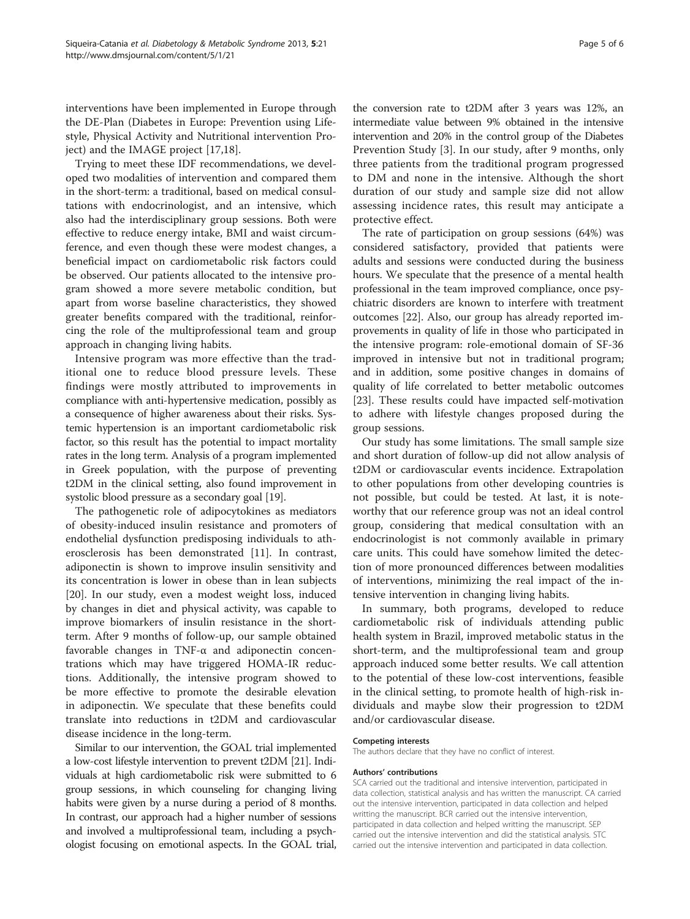interventions have been implemented in Europe through the DE-Plan (Diabetes in Europe: Prevention using Lifestyle, Physical Activity and Nutritional intervention Project) and the IMAGE project [\[17,18\]](#page-5-0).

Trying to meet these IDF recommendations, we developed two modalities of intervention and compared them in the short-term: a traditional, based on medical consultations with endocrinologist, and an intensive, which also had the interdisciplinary group sessions. Both were effective to reduce energy intake, BMI and waist circumference, and even though these were modest changes, a beneficial impact on cardiometabolic risk factors could be observed. Our patients allocated to the intensive program showed a more severe metabolic condition, but apart from worse baseline characteristics, they showed greater benefits compared with the traditional, reinforcing the role of the multiprofessional team and group approach in changing living habits.

Intensive program was more effective than the traditional one to reduce blood pressure levels. These findings were mostly attributed to improvements in compliance with anti-hypertensive medication, possibly as a consequence of higher awareness about their risks. Systemic hypertension is an important cardiometabolic risk factor, so this result has the potential to impact mortality rates in the long term. Analysis of a program implemented in Greek population, with the purpose of preventing t2DM in the clinical setting, also found improvement in systolic blood pressure as a secondary goal [\[19\]](#page-5-0).

The pathogenetic role of adipocytokines as mediators of obesity-induced insulin resistance and promoters of endothelial dysfunction predisposing individuals to atherosclerosis has been demonstrated [[11](#page-5-0)]. In contrast, adiponectin is shown to improve insulin sensitivity and its concentration is lower in obese than in lean subjects [[20\]](#page-5-0). In our study, even a modest weight loss, induced by changes in diet and physical activity, was capable to improve biomarkers of insulin resistance in the shortterm. After 9 months of follow-up, our sample obtained favorable changes in TNF-α and adiponectin concentrations which may have triggered HOMA-IR reductions. Additionally, the intensive program showed to be more effective to promote the desirable elevation in adiponectin. We speculate that these benefits could translate into reductions in t2DM and cardiovascular disease incidence in the long-term.

Similar to our intervention, the GOAL trial implemented a low-cost lifestyle intervention to prevent t2DM [\[21\]](#page-5-0). Individuals at high cardiometabolic risk were submitted to 6 group sessions, in which counseling for changing living habits were given by a nurse during a period of 8 months. In contrast, our approach had a higher number of sessions and involved a multiprofessional team, including a psychologist focusing on emotional aspects. In the GOAL trial,

the conversion rate to t2DM after 3 years was 12%, an intermediate value between 9% obtained in the intensive intervention and 20% in the control group of the Diabetes Prevention Study [[3](#page-5-0)]. In our study, after 9 months, only three patients from the traditional program progressed to DM and none in the intensive. Although the short duration of our study and sample size did not allow assessing incidence rates, this result may anticipate a protective effect.

The rate of participation on group sessions (64%) was considered satisfactory, provided that patients were adults and sessions were conducted during the business hours. We speculate that the presence of a mental health professional in the team improved compliance, once psychiatric disorders are known to interfere with treatment outcomes [[22](#page-5-0)]. Also, our group has already reported improvements in quality of life in those who participated in the intensive program: role-emotional domain of SF-36 improved in intensive but not in traditional program; and in addition, some positive changes in domains of quality of life correlated to better metabolic outcomes [[23\]](#page-5-0). These results could have impacted self-motivation to adhere with lifestyle changes proposed during the group sessions.

Our study has some limitations. The small sample size and short duration of follow-up did not allow analysis of t2DM or cardiovascular events incidence. Extrapolation to other populations from other developing countries is not possible, but could be tested. At last, it is noteworthy that our reference group was not an ideal control group, considering that medical consultation with an endocrinologist is not commonly available in primary care units. This could have somehow limited the detection of more pronounced differences between modalities of interventions, minimizing the real impact of the intensive intervention in changing living habits.

In summary, both programs, developed to reduce cardiometabolic risk of individuals attending public health system in Brazil, improved metabolic status in the short-term, and the multiprofessional team and group approach induced some better results. We call attention to the potential of these low-cost interventions, feasible in the clinical setting, to promote health of high-risk individuals and maybe slow their progression to t2DM and/or cardiovascular disease.

#### Competing interests

The authors declare that they have no conflict of interest.

#### Authors' contributions

SCA carried out the traditional and intensive intervention, participated in data collection, statistical analysis and has written the manuscript. CA carried out the intensive intervention, participated in data collection and helped writting the manuscript. BCR carried out the intensive intervention, participated in data collection and helped writting the manuscript. SEP carried out the intensive intervention and did the statistical analysis. STC carried out the intensive intervention and participated in data collection.